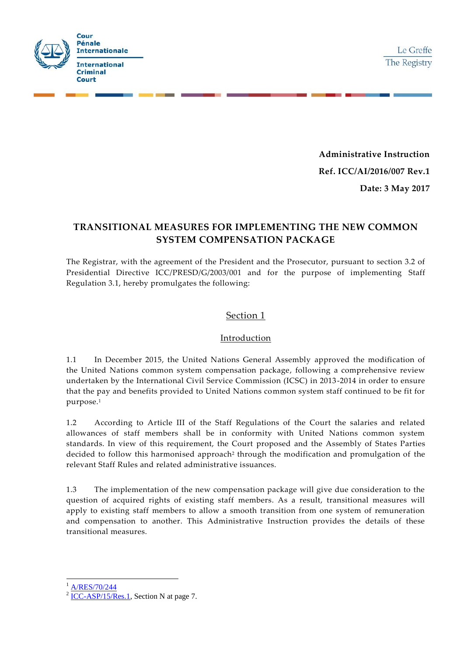

**Administrative Instruction Ref. ICC/AI/2016/007 Rev.1 Date: 3 May 2017**

# **TRANSITIONAL MEASURES FOR IMPLEMENTING THE NEW COMMON SYSTEM COMPENSATION PACKAGE**

The Registrar, with the agreement of the President and the Prosecutor, pursuant to section 3.2 of Presidential Directive ICC/PRESD/G/2003/001 and for the purpose of implementing Staff Regulation 3.1, hereby promulgates the following:

### Section 1

### Introduction

1.1 In December 2015, the United Nations General Assembly approved the modification of the United Nations common system compensation package, following a comprehensive review undertaken by the International Civil Service Commission (ICSC) in 2013-2014 in order to ensure that the pay and benefits provided to United Nations common system staff continued to be fit for purpose.<sup>1</sup>

1.2 According to Article III of the Staff Regulations of the Court the salaries and related allowances of staff members shall be in conformity with United Nations common system standards. In view of this requirement, the Court proposed and the Assembly of States Parties decided to follow this harmonised approach<sup>2</sup> through the modification and promulgation of the relevant Staff Rules and related administrative issuances.

1.3 The implementation of the new compensation package will give due consideration to the question of acquired rights of existing staff members. As a result, transitional measures will apply to existing staff members to allow a smooth transition from one system of remuneration and compensation to another. This Administrative Instruction provides the details of these transitional measures.

[A/RES/70/244](http://www.un.org/en/ga/search/view_doc.asp?symbol=A/RES/70/244)

-

 $2$  [ICC-ASP/15/Res.1,](https://asp.icc-cpi.int/iccdocs/asp_docs/Resolutions/ASP15/ICC-ASP-15-Res1-ENG.pdf) Section N at page 7.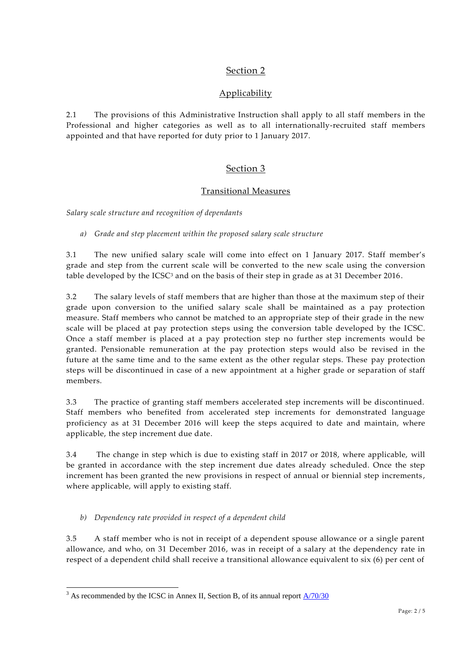## Section 2

## **Applicability**

2.1 The provisions of this Administrative Instruction shall apply to all staff members in the Professional and higher categories as well as to all internationally-recruited staff members appointed and that have reported for duty prior to 1 January 2017.

# Section 3

### Transitional Measures

*Salary scale structure and recognition of dependants*

*a) Grade and step placement within the proposed salary scale structure* 

3.1 The new unified salary scale will come into effect on 1 January 2017. Staff member's grade and step from the current scale will be converted to the new scale using the conversion table developed by the ICSC<sup>3</sup> and on the basis of their step in grade as at 31 December 2016.

3.2 The salary levels of staff members that are higher than those at the maximum step of their grade upon conversion to the unified salary scale shall be maintained as a pay protection measure. Staff members who cannot be matched to an appropriate step of their grade in the new scale will be placed at pay protection steps using the conversion table developed by the ICSC. Once a staff member is placed at a pay protection step no further step increments would be granted. Pensionable remuneration at the pay protection steps would also be revised in the future at the same time and to the same extent as the other regular steps. These pay protection steps will be discontinued in case of a new appointment at a higher grade or separation of staff members.

3.3 The practice of granting staff members accelerated step increments will be discontinued. Staff members who benefited from accelerated step increments for demonstrated language proficiency as at 31 December 2016 will keep the steps acquired to date and maintain, where applicable, the step increment due date.

3.4 The change in step which is due to existing staff in 2017 or 2018, where applicable, will be granted in accordance with the step increment due dates already scheduled. Once the step increment has been granted the new provisions in respect of annual or biennial step increments , where applicable, will apply to existing staff.

### *b) Dependency rate provided in respect of a dependent child*

-

3.5 A staff member who is not in receipt of a dependent spouse allowance or a single parent allowance, and who, on 31 December 2016, was in receipt of a salary at the dependency rate in respect of a dependent child shall receive a transitional allowance equivalent to six (6) per cent of

 $3$  As recommended by the ICSC in Annex II, Section B, of its annual report  $\frac{A/70/30}{2}$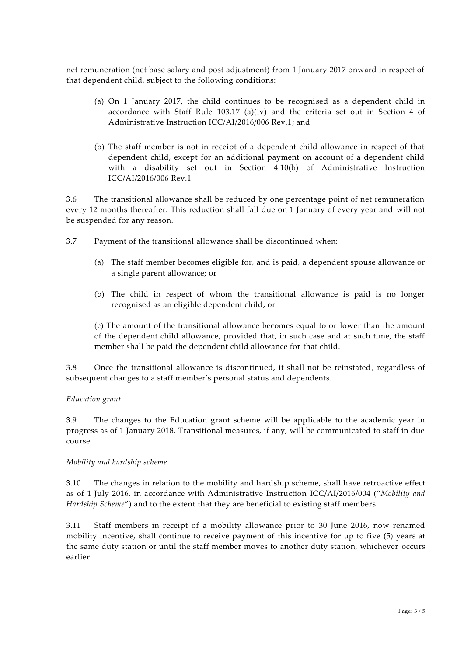net remuneration (net base salary and post adjustment) from 1 January 2017 onward in respect of that dependent child, subject to the following conditions:

- (a) On 1 January 2017, the child continues to be recogni sed as a dependent child in accordance with Staff Rule  $103.17$  (a)(iv) and the criteria set out in Section 4 of Administrative Instruction ICC/AI/2016/006 Rev.1; and
- (b) The staff member is not in receipt of a dependent child allowance in respect of that dependent child, except for an additional payment on account of a dependent child with a disability set out in Section 4.10(b) of Administrative Instruction ICC/AI/2016/006 Rev.1

3.6 The transitional allowance shall be reduced by one percentage point of net remuneration every 12 months thereafter. This reduction shall fall due on 1 January of every year and will not be suspended for any reason.

- 3.7 Payment of the transitional allowance shall be discontinued when:
	- (a) The staff member becomes eligible for, and is paid, a dependent spouse allowance or a single parent allowance; or
	- (b) The child in respect of whom the transitional allowance is paid is no longer recognised as an eligible dependent child; or

(c) The amount of the transitional allowance becomes equal to or lower than the amount of the dependent child allowance, provided that, in such case and at such time, the staff member shall be paid the dependent child allowance for that child.

3.8 Once the transitional allowance is discontinued, it shall not be reinstated, regardless of subsequent changes to a staff member's personal status and dependents.

#### *Education grant*

3.9 The changes to the Education grant scheme will be applicable to the academic year in progress as of 1 January 2018. Transitional measures, if any, will be communicated to staff in due course.

#### *Mobility and hardship scheme*

3.10 The changes in relation to the mobility and hardship scheme, shall have retroactive effect as of 1 July 2016, in accordance with Administrative Instruction ICC/AI/2016/004 ("*Mobility and Hardship Scheme*") and to the extent that they are beneficial to existing staff members.

3.11 Staff members in receipt of a mobility allowance prior to 30 June 2016, now renamed mobility incentive, shall continue to receive payment of this incentive for up to five (5) years at the same duty station or until the staff member moves to another duty station, whichever occurs earlier.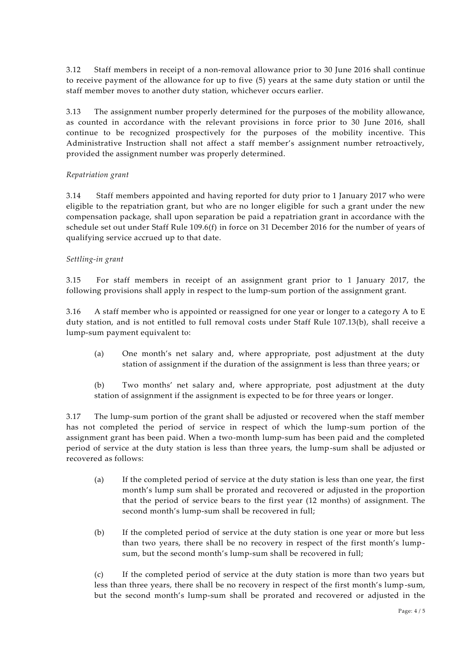3.12 Staff members in receipt of a non-removal allowance prior to 30 June 2016 shall continue to receive payment of the allowance for up to five (5) years at the same duty station or until the staff member moves to another duty station, whichever occurs earlier.

3.13 The assignment number properly determined for the purposes of the mobility allowance, as counted in accordance with the relevant provisions in force prior to 30 June 2016, shall continue to be recognized prospectively for the purposes of the mobility incentive. This Administrative Instruction shall not affect a staff member's assignment number retroactively, provided the assignment number was properly determined.

### *Repatriation grant*

3.14 Staff members appointed and having reported for duty prior to 1 January 2017 who were eligible to the repatriation grant, but who are no longer eligible for such a grant under the new compensation package, shall upon separation be paid a repatriation grant in accordance with the schedule set out under Staff Rule 109.6(f) in force on 31 December 2016 for the number of years of qualifying service accrued up to that date.

### *Settling-in grant*

3.15 For staff members in receipt of an assignment grant prior to 1 January 2017, the following provisions shall apply in respect to the lump-sum portion of the assignment grant.

3.16 A staff member who is appointed or reassigned for one year or longer to a catego ry A to E duty station, and is not entitled to full removal costs under Staff Rule 107.13(b), shall receive a lump-sum payment equivalent to:

(a) One month's net salary and, where appropriate, post adjustment at the duty station of assignment if the duration of the assignment is less than three years; or

(b) Two months' net salary and, where appropriate, post adjustment at the duty station of assignment if the assignment is expected to be for three years or longer.

3.17 The lump-sum portion of the grant shall be adjusted or recovered when the staff member has not completed the period of service in respect of which the lump-sum portion of the assignment grant has been paid. When a two-month lump-sum has been paid and the completed period of service at the duty station is less than three years, the lump-sum shall be adjusted or recovered as follows:

- (a) If the completed period of service at the duty station is less than one year, the first month's lump sum shall be prorated and recovered or adjusted in the proportion that the period of service bears to the first year (12 months) of assignment. The second month's lump-sum shall be recovered in full;
- (b) If the completed period of service at the duty station is one year or more but less than two years, there shall be no recovery in respect of the first month's lumpsum, but the second month's lump-sum shall be recovered in full;

(c) If the completed period of service at the duty station is more than two years but less than three years, there shall be no recovery in respect of the first month's lump-sum, but the second month's lump-sum shall be prorated and recovered or adjusted in the